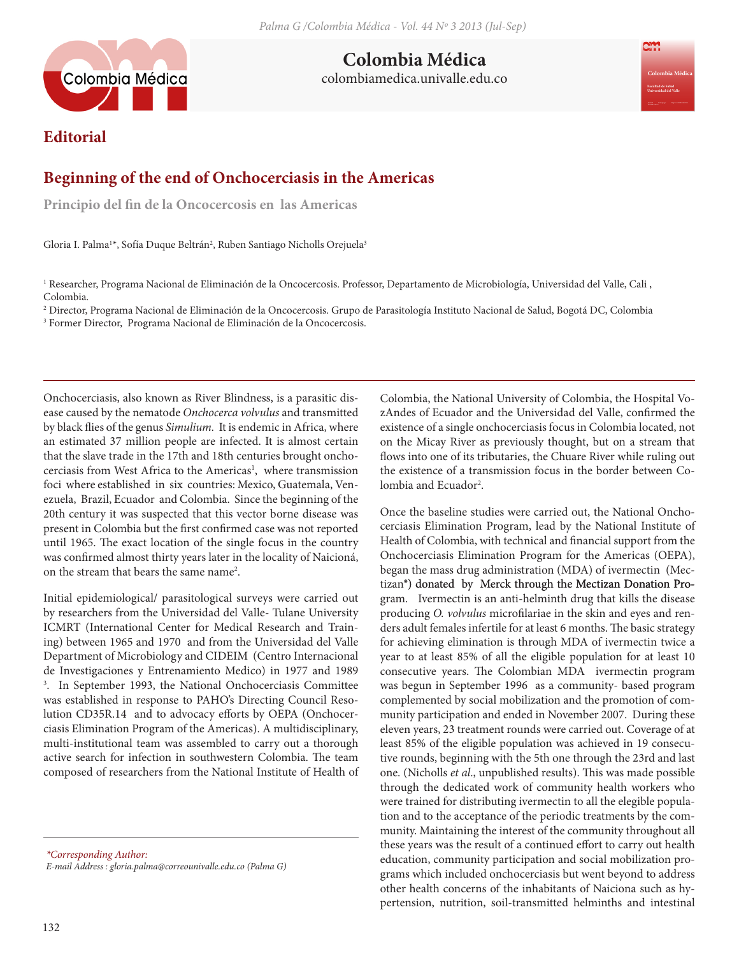

**Colombia Médica** colombiamedica.univalle.edu.co **Colombia Médica**

## **Editorial**

## **Beginning of the end of Onchocerciasis in the Americas**

**Principio del fin de la Oncocercosis en las Americas**

Gloria I. Palma<sup>1\*</sup>, Sofía Duque Beltrán<sup>2</sup>, Ruben Santiago Nicholls Orejuela<sup>3</sup>

1 Researcher, Programa Nacional de Eliminación de la Oncocercosis. Professor, Departamento de Microbiología, Universidad del Valle, Cali , Colombia.

2 Director, Programa Nacional de Eliminación de la Oncocercosis. Grupo de Parasitología Instituto Nacional de Salud, Bogotá DC, Colombia 3 Former Director, Programa Nacional de Eliminación de la Oncocercosis.

Onchocerciasis, also known as River Blindness, is a parasitic disease caused by the nematode *Onchocerca volvulus* and transmitted by black flies of the genus *Simulium.* It is endemic in Africa, where an estimated 37 million people are infected. It is almost certain that the slave trade in the 17th and 18th centuries brought onchocerciasis from West Africa to the Americas<sup>1</sup>, where transmission foci where established in six countries: Mexico, Guatemala, Venezuela, Brazil, Ecuador and Colombia. Since the beginning of the 20th century it was suspected that this vector borne disease was present in Colombia but the first confirmed case was not reported until 1965. The exact location of the single focus in the country was confirmed almost thirty years later in the locality of Naicioná, on the stream that bears the same name2 .

Initial epidemiological/ parasitological surveys were carried out by researchers from the Universidad del Valle- Tulane University ICMRT (International Center for Medical Research and Training) between 1965 and 1970 and from the Universidad del Valle Department of Microbiology and CIDEIM (Centro Internacional de Investigaciones y Entrenamiento Medico) in 1977 and 1989 3 . In September 1993, the National Onchocerciasis Committee was established in response to PAHO's Directing Council Resolution CD35R.14 and to advocacy efforts by OEPA (Onchocerciasis Elimination Program of the Americas). A multidisciplinary, multi-institutional team was assembled to carry out a thorough active search for infection in southwestern Colombia. The team composed of researchers from the National Institute of Health of

*\*Corresponding Author: E-mail Address : gloria.palma@correounivalle.edu.co (Palma G)* Colombia, the National University of Colombia, the Hospital VozAndes of Ecuador and the Universidad del Valle, confirmed the existence of a single onchocerciasis focus in Colombia located, not on the Micay River as previously thought, but on a stream that flows into one of its tributaries, the Chuare River while ruling out the existence of a transmission focus in the border between Colombia and Ecuador<sup>2</sup>.

Once the baseline studies were carried out, the National Onchocerciasis Elimination Program, lead by the National Institute of Health of Colombia, with technical and financial support from the Onchocerciasis Elimination Program for the Americas (OEPA), began the mass drug administration (MDA) of ivermectin (Mectizan<sup>®</sup>) donated by Merck through the Mectizan Donation Program. Ivermectin is an anti-helminth drug that kills the disease producing *O. volvulus* microfilariae in the skin and eyes and renders adult females infertile for at least 6 months. The basic strategy for achieving elimination is through MDA of ivermectin twice a year to at least 85% of all the eligible population for at least 10 consecutive years. The Colombian MDA ivermectin program was begun in September 1996 as a community- based program complemented by social mobilization and the promotion of community participation and ended in November 2007. During these eleven years, 23 treatment rounds were carried out. Coverage of at least 85% of the eligible population was achieved in 19 consecutive rounds, beginning with the 5th one through the 23rd and last one. (Nicholls *et al*., unpublished results). This was made possible through the dedicated work of community health workers who were trained for distributing ivermectin to all the elegible population and to the acceptance of the periodic treatments by the community. Maintaining the interest of the community throughout all these years was the result of a continued effort to carry out health education, community participation and social mobilization programs which included onchocerciasis but went beyond to address other health concerns of the inhabitants of Naiciona such as hypertension, nutrition, soil-transmitted helminths and intestinal